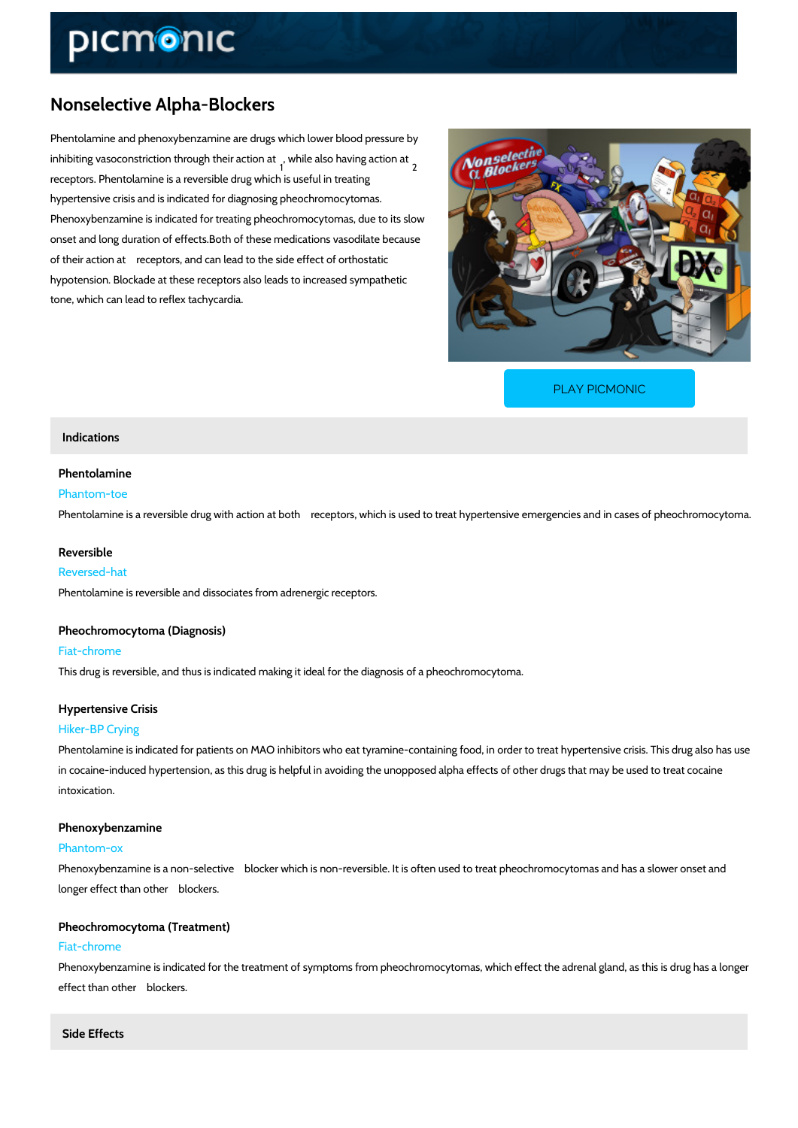# Nonselective Alpha-Blockers

Phentolamine and phenoxybenzamine are drugs which lower blood pressure by inhibiting vasoconstriction throwoghilehaelisroabaivoim gataetion at  $\pm$ <br><sup>1</sup> receptors. Phentolamine is a reversible drug which is useful in treating hypertensive crisis and is indicated for diagnosing pheochromocytomas. Phenoxybenzamine is indicated for treating pheochromocytomas, due to its slow onset and long duration of effects.Both of these medications vasodilate because of their action at ± receptors, and can lead to the side effect of orthostatic hypotension. Blockade at these receptors also leads to increased sympathetic tone, which can lead to reflex tachycardia.

[PLAY PICMONIC](https://www.picmonic.com/learn/nonselective-alpha-blockers_1143?utm_source=downloadable_content&utm_medium=distributedcontent&utm_campaign=pathways_pdf&utm_content=Nonselective Alpha-Blockers&utm_ad_group=leads&utm_market=all)

### Indications

#### Phentolamine Phantom-toe

Phentolamine is a reversible drug with action at both  $\pm$  receptors, which is used to treat hype

#### Reversible

#### Reversed-hat

Phentolamine is reversible and dissociates from adrenergic receptors.

# Pheochromocytoma (Diagnosis)

### Fiat-chrome

This drug is reversible, and thus is indicated making it ideal for the diagnosis of a pheochrom

## Hypertensive Crisis Hiker-BP Crying

Phentolamine is indicated for patients on MAO inhibitors who eat tyramine-containing food, in in cocaine-induced hypertension, as this drug is helpful in avoiding the unopposed alpha effee intoxication.

# Phenoxybenzamine

#### Phantom-ox

Phenoxybenzamine is a non-selective  $\pm$  blocker which is non-reversible. It is often used to tre longer effect than other ± blockers.

# Pheochromocytoma (Treatment)

#### Fiat-chrome

Phenoxybenzamine is indicated for the treatment of symptoms from pheochromocytomas, which effect than other ± blockers.

#### Side Effects